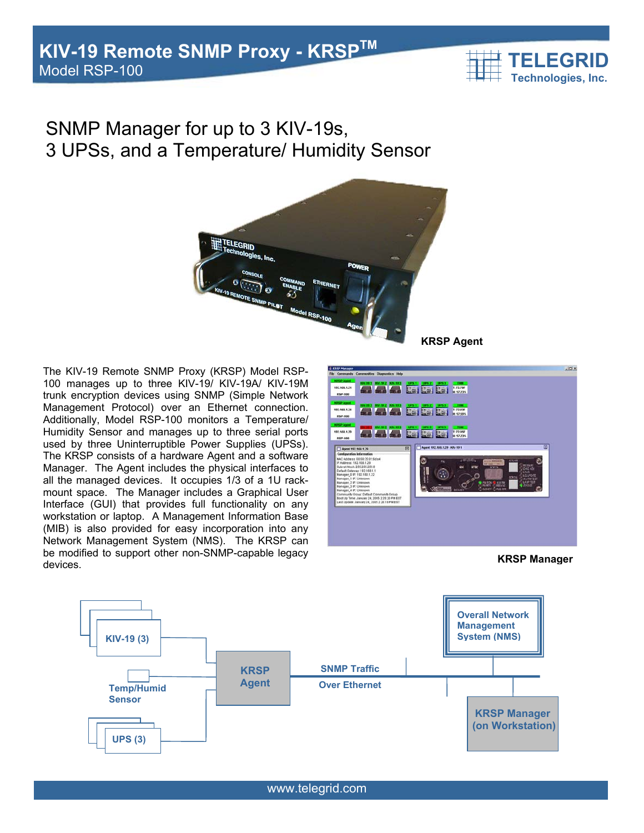

# SNMP Manager for up to 3 KIV-19s, 3 UPSs, and a Temperature/ Humidity Sensor



The KIV-19 Remote SNMP Proxy (KRSP) Model RSP-100 manages up to three KIV-19/ KIV-19A/ KIV-19M trunk encryption devices using SNMP (Simple Network Management Protocol) over an Ethernet connection. Additionally, Model RSP-100 monitors a Temperature/ Humidity Sensor and manages up to three serial ports used by three Uninterruptible Power Supplies (UPSs). The KRSP consists of a hardware Agent and a software Manager. The Agent includes the physical interfaces to all the managed devices. It occupies 1/3 of a 1U rackmount space. The Manager includes a Graphical User Interface (GUI) that provides full functionality on any workstation or laptop. A Management Information Base (MIB) is also provided for easy incorporation into any Network Management System (NMS). The KRSP can be modified to support other non-SNMP-capable legacy devices.



**KRSP Manager**



www.telegrid.com